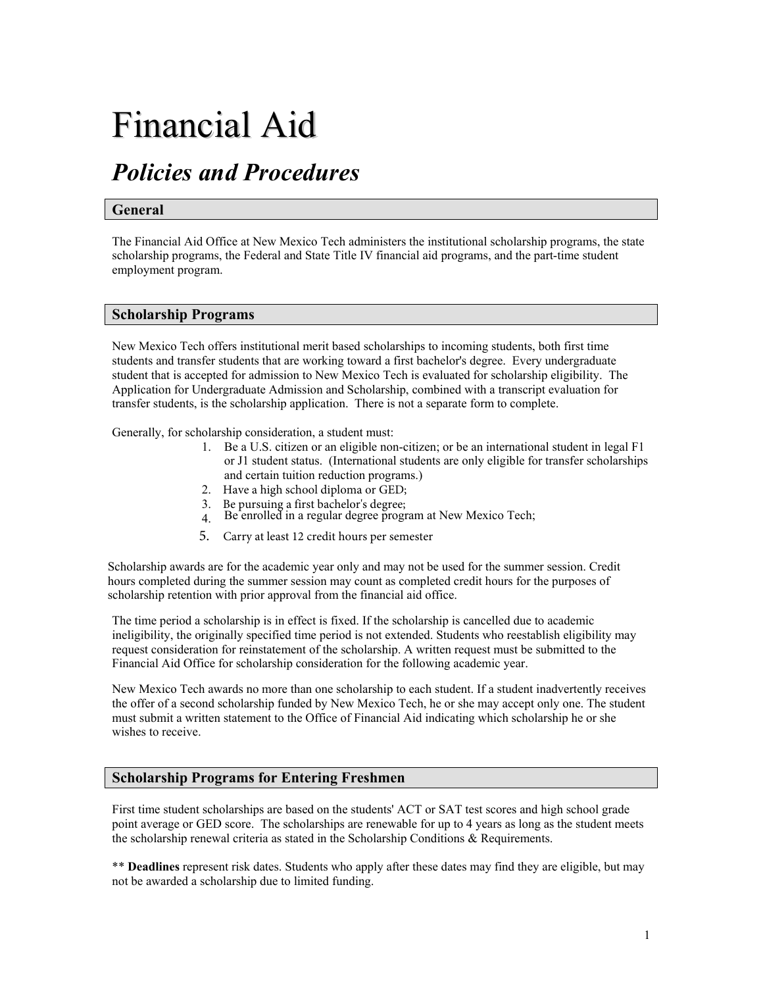# Financial Aid

# *Policies and Procedures*

#### **General**

The Financial Aid Office at New Mexico Tech administers the institutional scholarship programs, the state scholarship programs, the Federal and State Title IV financial aid programs, and the part-time student employment program.

#### **Scholarship Programs**

New Mexico Tech offers institutional merit based scholarships to incoming students, both first time students and transfer students that are working toward a first bachelor's degree. Every undergraduate student that is accepted for admission to New Mexico Tech is evaluated for scholarship eligibility. The Application for Undergraduate Admission and Scholarship, combined with a transcript evaluation for transfer students, is the scholarship application. There is not a separate form to complete.

Generally, for scholarship consideration, a student must:

- 1. Be a U.S. citizen or an eligible non-citizen; or be an international student in legal F1 or J1 student status. (International students are only eligible for transfer scholarships and certain tuition reduction programs.)
- 2. Have a high school diploma or GED;
- 3. Be pursuing a first bachelor's degree;
- 4. Be enrolled in a regular degree program at New Mexico Tech;
- 5. Carry at least 12 credit hours per semester

Scholarship awards are for the academic year only and may not be used for the summer session. Credit hours completed during the summer session may count as completed credit hours for the purposes of scholarship retention with prior approval from the financial aid office.

The time period a scholarship is in effect is fixed. If the scholarship is cancelled due to academic ineligibility, the originally specified time period is not extended. Students who reestablish eligibility may request consideration for reinstatement of the scholarship. A written request must be submitted to the Financial Aid Office for scholarship consideration for the following academic year.

New Mexico Tech awards no more than one scholarship to each student. If a student inadvertently receives the offer of a second scholarship funded by New Mexico Tech, he or she may accept only one. The student must submit a written statement to the Office of Financial Aid indicating which scholarship he or she wishes to receive.

## **Scholarship Programs for Entering Freshmen**

First time student scholarships are based on the students' ACT or SAT test scores and high school grade point average or GED score. The scholarships are renewable for up to 4 years as long as the student meets the scholarship renewal criteria as stated in the Scholarship Conditions & Requirements.

\*\* **Deadlines** represent risk dates. Students who apply after these dates may find they are eligible, but may not be awarded a scholarship due to limited funding.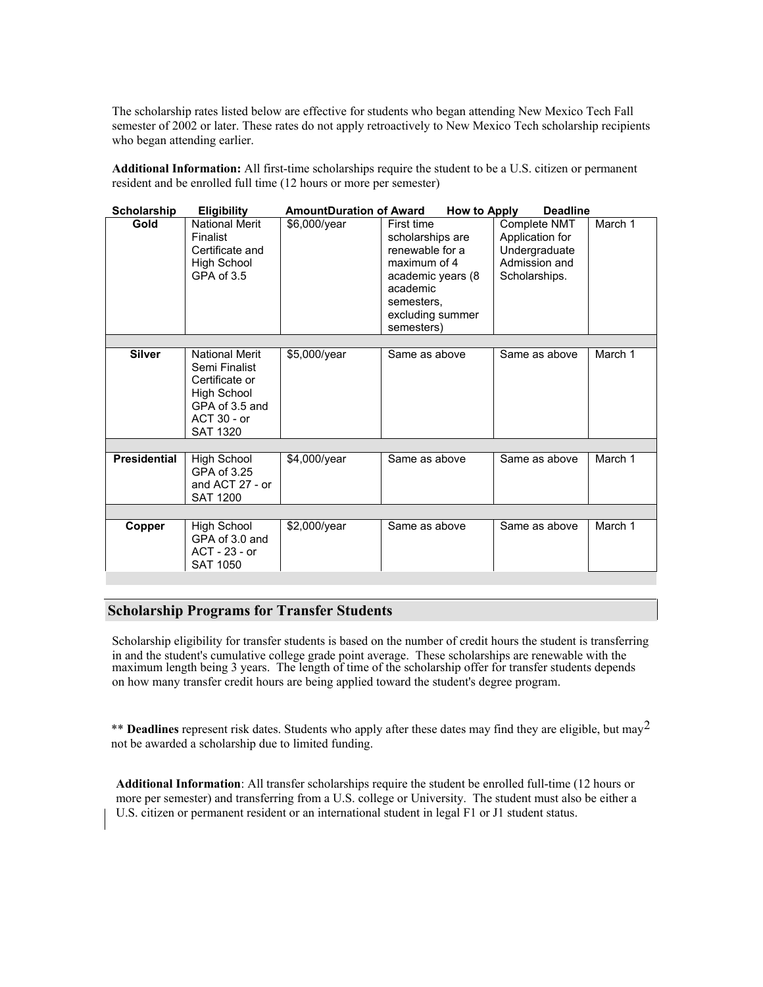The scholarship rates listed below are effective for students who began attending New Mexico Tech Fall semester of 2002 or later. These rates do not apply retroactively to New Mexico Tech scholarship recipients who began attending earlier.

**Additional Information:** All first-time scholarships require the student to be a U.S. citizen or permanent resident and be enrolled full time (12 hours or more per semester)

| <b>Scholarship</b>  | <b>Eligibility</b>                                                                                                   | <b>AmountDuration of Award</b> | <b>How to Apply</b>                                                                                                                                | <b>Deadline</b>                                                                    |         |  |  |
|---------------------|----------------------------------------------------------------------------------------------------------------------|--------------------------------|----------------------------------------------------------------------------------------------------------------------------------------------------|------------------------------------------------------------------------------------|---------|--|--|
| Gold                | <b>National Merit</b><br>Finalist<br>Certificate and<br><b>High School</b><br>GPA of 3.5                             | \$6,000/year                   | First time<br>scholarships are<br>renewable for a<br>maximum of 4<br>academic years (8<br>academic<br>semesters,<br>excluding summer<br>semesters) | Complete NMT<br>Application for<br>Undergraduate<br>Admission and<br>Scholarships. | March 1 |  |  |
|                     |                                                                                                                      |                                |                                                                                                                                                    |                                                                                    |         |  |  |
| <b>Silver</b>       | National Merit<br>Semi Finalist<br>Certificate or<br>High School<br>GPA of 3.5 and<br>ACT 30 - or<br><b>SAT 1320</b> | \$5,000/year                   | Same as above                                                                                                                                      | Same as above                                                                      | March 1 |  |  |
|                     |                                                                                                                      |                                |                                                                                                                                                    |                                                                                    |         |  |  |
| <b>Presidential</b> | High School<br>GPA of 3.25<br>and ACT 27 - or<br><b>SAT 1200</b>                                                     | \$4,000/year                   | Same as above                                                                                                                                      | Same as above                                                                      | March 1 |  |  |
|                     |                                                                                                                      |                                |                                                                                                                                                    |                                                                                    |         |  |  |
| Copper              | <b>High School</b><br>GPA of 3.0 and<br>ACT - 23 - or<br><b>SAT 1050</b>                                             | $$2,000$ /year                 | Same as above                                                                                                                                      | Same as above                                                                      | March 1 |  |  |

## **Scholarship Programs for Transfer Students**

Scholarship eligibility for transfer students is based on the number of credit hours the student is transferring in and the student's cumulative college grade point average. These scholarships are renewable with the maximum length being 3 years. The length of time of the scholarship offer for transfer students depends on how many transfer credit hours are being applied toward the student's degree program.

\*\* **Deadlines** represent risk dates. Students who apply after these dates may find they are eligible, but may<sup>2</sup> not be awarded a scholarship due to limited funding.

**Additional Information**: All transfer scholarships require the student be enrolled full-time (12 hours or more per semester) and transferring from a U.S. college or University. The student must also be either a U.S. citizen or permanent resident or an international student in legal F1 or J1 student status.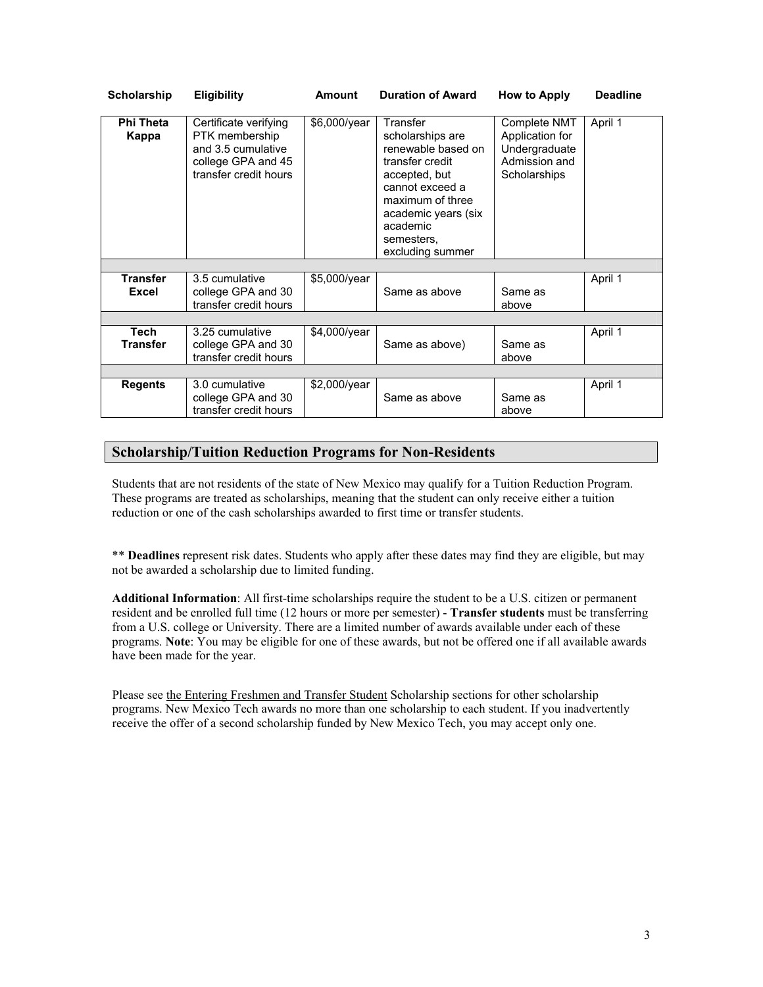| <b>Scholarship</b>        | <b>Eligibility</b>                                                                                           | <b>Amount</b> | <b>Duration of Award</b>                                                                                                                                                                           | How to Apply                                                                      | <b>Deadline</b> |
|---------------------------|--------------------------------------------------------------------------------------------------------------|---------------|----------------------------------------------------------------------------------------------------------------------------------------------------------------------------------------------------|-----------------------------------------------------------------------------------|-----------------|
| <b>Phi Theta</b><br>Kappa | Certificate verifying<br>PTK membership<br>and 3.5 cumulative<br>college GPA and 45<br>transfer credit hours | \$6,000/year  | Transfer<br>scholarships are<br>renewable based on<br>transfer credit<br>accepted, but<br>cannot exceed a<br>maximum of three<br>academic years (six<br>academic<br>semesters,<br>excluding summer | Complete NMT<br>Application for<br>Undergraduate<br>Admission and<br>Scholarships | April 1         |
|                           |                                                                                                              |               |                                                                                                                                                                                                    |                                                                                   |                 |
| <b>Transfer</b>           | 3.5 cumulative                                                                                               | \$5,000/year  |                                                                                                                                                                                                    |                                                                                   | April 1         |
| <b>Excel</b>              | college GPA and 30                                                                                           |               | Same as above                                                                                                                                                                                      | Same as                                                                           |                 |
|                           | transfer credit hours                                                                                        |               |                                                                                                                                                                                                    | above                                                                             |                 |
|                           |                                                                                                              |               |                                                                                                                                                                                                    |                                                                                   |                 |
| <b>Tech</b>               | 3.25 cumulative                                                                                              | \$4,000/year  |                                                                                                                                                                                                    |                                                                                   | April 1         |
| <b>Transfer</b>           | college GPA and 30                                                                                           |               | Same as above)                                                                                                                                                                                     | Same as                                                                           |                 |
|                           | transfer credit hours                                                                                        |               |                                                                                                                                                                                                    | above                                                                             |                 |
|                           |                                                                                                              |               |                                                                                                                                                                                                    |                                                                                   |                 |
| <b>Regents</b>            | 3.0 cumulative                                                                                               | \$2,000/year  |                                                                                                                                                                                                    |                                                                                   | April 1         |
|                           | college GPA and 30<br>transfer credit hours                                                                  |               | Same as above                                                                                                                                                                                      | Same as<br>above                                                                  |                 |

# **Scholarship/Tuition Reduction Programs for Non-Residents**

Students that are not residents of the state of New Mexico may qualify for a Tuition Reduction Program. These programs are treated as scholarships, meaning that the student can only receive either a tuition reduction or one of the cash scholarships awarded to first time or transfer students.

\*\* **Deadlines** represent risk dates. Students who apply after these dates may find they are eligible, but may not be awarded a scholarship due to limited funding.

**Additional Information**: All first-time scholarships require the student to be a U.S. citizen or permanent resident and be enrolled full time (12 hours or more per semester) - **Transfer students** must be transferring from a U.S. college or University. There are a limited number of awards available under each of these programs. **Note**: You may be eligible for one of these awards, but not be offered one if all available awards have been made for the year.

Please see the Entering Freshmen and Transfer Student Scholarship sections for other scholarship programs. New Mexico Tech awards no more than one scholarship to each student. If you inadvertently receive the offer of a second scholarship funded by New Mexico Tech, you may accept only one.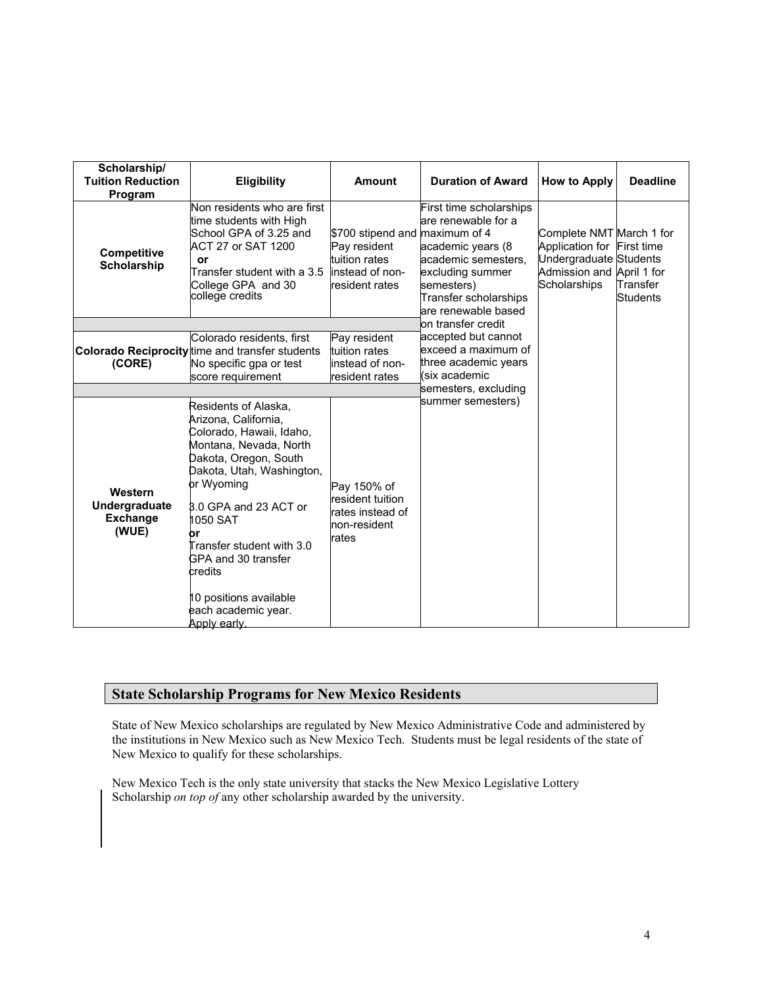| Scholarship/<br><b>Tuition Reduction</b><br>Program  | <b>Eligibility</b>                                                                                                                                                                                                                                                                                                                         | Amount                                                                                               | <b>Duration of Award</b>                                                                                                                                                     | How to Apply                                                                                                                         | <b>Deadline</b>             |
|------------------------------------------------------|--------------------------------------------------------------------------------------------------------------------------------------------------------------------------------------------------------------------------------------------------------------------------------------------------------------------------------------------|------------------------------------------------------------------------------------------------------|------------------------------------------------------------------------------------------------------------------------------------------------------------------------------|--------------------------------------------------------------------------------------------------------------------------------------|-----------------------------|
| Competitive<br><b>Scholarship</b>                    | Non residents who are first<br>time students with High<br>School GPA of 3.25 and<br>ACT 27 or SAT 1200<br>or<br>Transfer student with a 3.5<br>College GPA and 30<br>college credits                                                                                                                                                       | \$700 stipend and maximum of 4<br>Pay resident<br>tuition rates<br>instead of non-<br>resident rates | First time scholarships<br>are renewable for a<br>academic years (8<br>academic semesters.<br>excluding summer<br>semesters)<br>Transfer scholarships<br>are renewable based | Complete NMT March 1 for<br>Application for First time<br>Undergraduate Students<br>Admission and April 1 for<br><b>Scholarships</b> | Transfer<br><b>Students</b> |
| (CORE)                                               | Colorado residents, first<br>Colorado Reciprocity time and transfer students<br>No specific gpa or test<br>score requirement                                                                                                                                                                                                               | Pay resident<br>tuition rates<br>instead of non-<br>resident rates                                   | lon transfer credit<br>accepted but cannot<br>exceed a maximum of<br>three academic years<br>(six academic                                                                   |                                                                                                                                      |                             |
| Western<br>Undergraduate<br><b>Exchange</b><br>(WUE) | Residents of Alaska,<br>Arizona, California,<br>Colorado, Hawaii, Idaho,<br>Montana, Nevada, North<br>Dakota, Oregon, South<br>Dakota, Utah, Washington,<br>or Wyoming<br>8.0 GPA and 23 ACT or<br>1050 SAT<br>Transfer student with 3.0<br>GPA and 30 transfer<br>credits<br>0 positions available<br>each academic year.<br>Apply early. | Pay 150% of<br>resident tuition<br>rates instead of<br>non-resident<br>rates                         | semesters, excluding<br>summer semesters)                                                                                                                                    |                                                                                                                                      |                             |

# **State Scholarship Programs for New Mexico Residents**

State of New Mexico scholarships are regulated by New Mexico Administrative Code and administered by the institutions in New Mexico such as New Mexico Tech. Students must be legal residents of the state of New Mexico to qualify for these scholarships.

New Mexico Tech is the only state university that stacks the New Mexico Legislative Lottery Scholarship *on top of* any other scholarship awarded by the university.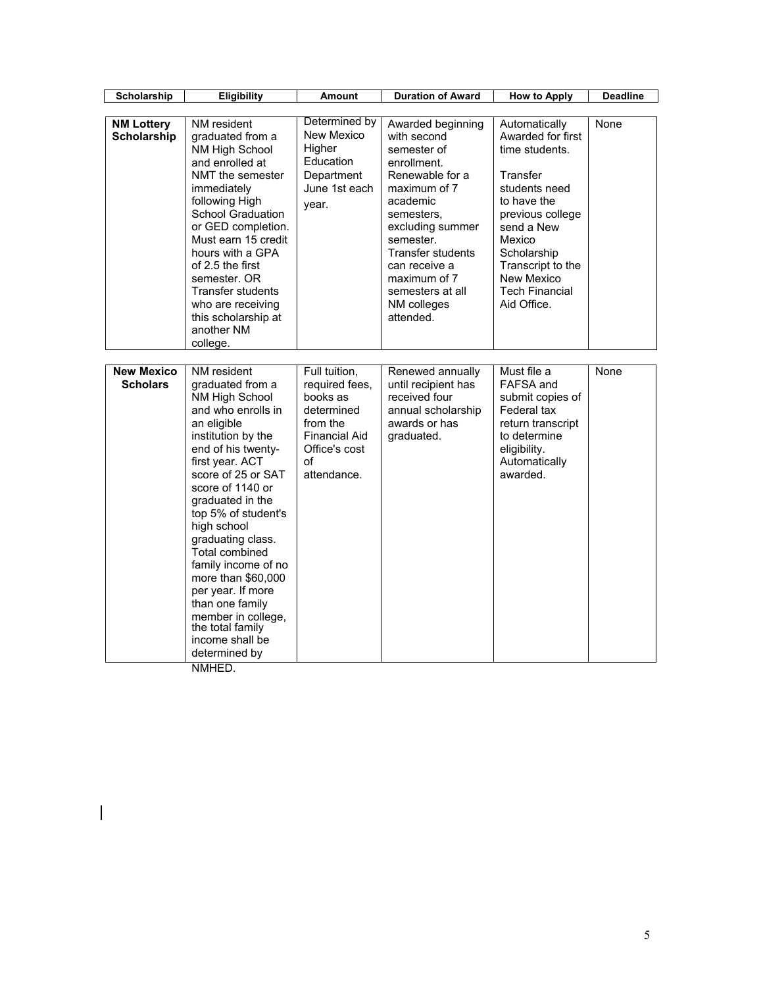| Scholarship                             | Eligibility                                                                                                                                                                                                                                                                                                                                                                                                                                                         | <b>Amount</b>                                                                                                                       | <b>Duration of Award</b>                                                                                                                                                                                                                                                  | <b>How to Apply</b>                                                                                                                                                                                                                    | <b>Deadline</b> |
|-----------------------------------------|---------------------------------------------------------------------------------------------------------------------------------------------------------------------------------------------------------------------------------------------------------------------------------------------------------------------------------------------------------------------------------------------------------------------------------------------------------------------|-------------------------------------------------------------------------------------------------------------------------------------|---------------------------------------------------------------------------------------------------------------------------------------------------------------------------------------------------------------------------------------------------------------------------|----------------------------------------------------------------------------------------------------------------------------------------------------------------------------------------------------------------------------------------|-----------------|
|                                         |                                                                                                                                                                                                                                                                                                                                                                                                                                                                     |                                                                                                                                     |                                                                                                                                                                                                                                                                           |                                                                                                                                                                                                                                        |                 |
| <b>NM Lottery</b><br><b>Scholarship</b> | NM resident<br>graduated from a<br>NM High School<br>and enrolled at<br>NMT the semester<br>immediately<br>following High<br><b>School Graduation</b><br>or GED completion.<br>Must earn 15 credit<br>hours with a GPA<br>of 2.5 the first<br>semester, OR<br>Transfer students<br>who are receiving<br>this scholarship at<br>another NM<br>college.                                                                                                               | Determined by<br>New Mexico<br>Higher<br>Education<br>Department<br>June 1st each<br>year.                                          | Awarded beginning<br>with second<br>semester of<br>enrollment.<br>Renewable for a<br>maximum of 7<br>academic<br>semesters,<br>excluding summer<br>semester.<br><b>Transfer students</b><br>can receive a<br>maximum of 7<br>semesters at all<br>NM colleges<br>attended. | Automatically<br>Awarded for first<br>time students.<br>Transfer<br>students need<br>to have the<br>previous college<br>send a New<br>Mexico<br>Scholarship<br>Transcript to the<br>New Mexico<br><b>Tech Financial</b><br>Aid Office. | None            |
|                                         |                                                                                                                                                                                                                                                                                                                                                                                                                                                                     |                                                                                                                                     |                                                                                                                                                                                                                                                                           |                                                                                                                                                                                                                                        |                 |
| <b>New Mexico</b><br><b>Scholars</b>    | NM resident<br>graduated from a<br>NM High School<br>and who enrolls in<br>an eligible<br>institution by the<br>end of his twenty-<br>first year. ACT<br>score of 25 or SAT<br>score of 1140 or<br>graduated in the<br>top 5% of student's<br>high school<br>graduating class.<br>Total combined<br>family income of no<br>more than \$60,000<br>per year. If more<br>than one family<br>member in college,<br>the total family<br>income shall be<br>determined by | Full tuition,<br>required fees,<br>books as<br>determined<br>from the<br><b>Financial Aid</b><br>Office's cost<br>of<br>attendance. | Renewed annually<br>until recipient has<br>received four<br>annual scholarship<br>awards or has<br>graduated.                                                                                                                                                             | Must file a<br>FAFSA and<br>submit copies of<br>Federal tax<br>return transcript<br>to determine<br>eligibility.<br>Automatically<br>awarded.                                                                                          | None            |

NMHED.

 $\begin{array}{c} \hline \end{array}$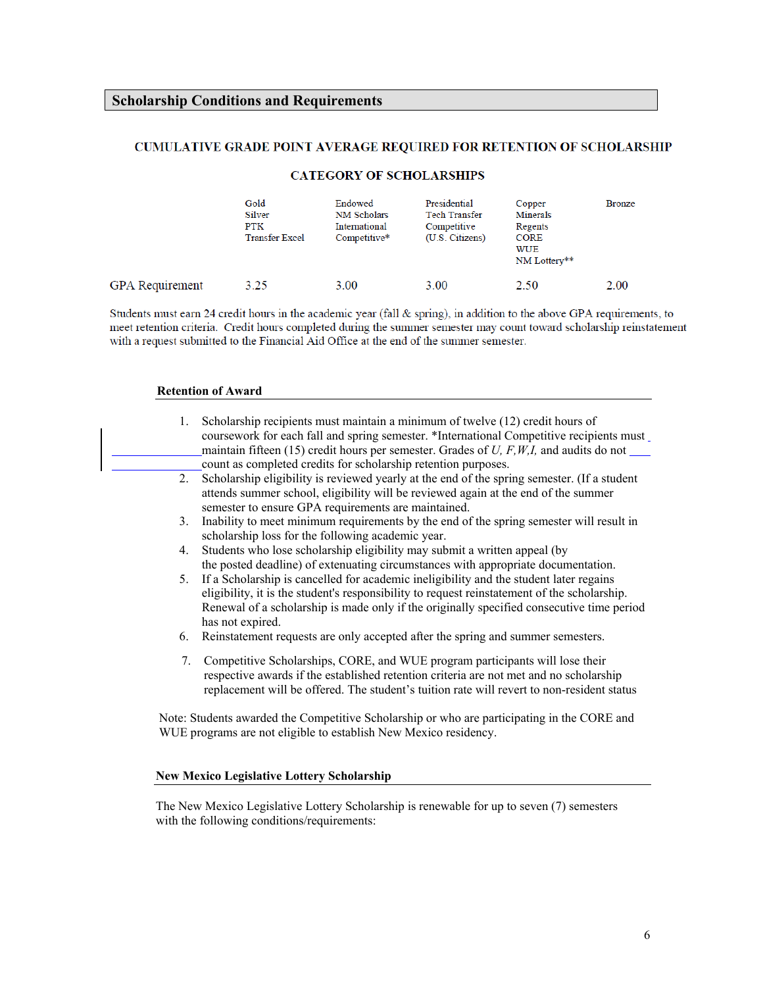# **Scholarship Conditions and Requirements**

#### CUMULATIVE GRADE POINT AVERAGE REQUIRED FOR RETENTION OF SCHOLARSHIP

|                        | Gold<br>Silver<br><b>PTK</b><br><b>Transfer Excel</b> | Endowed<br><b>NM Scholars</b><br>International<br>Competitive* | Presidential<br><b>Tech Transfer</b><br>Competitive<br>(U.S. Citizens) | Copper<br><b>Minerals</b><br>Regents<br><b>CORE</b><br>WUE<br>NM Lottery** | <b>Bronze</b> |
|------------------------|-------------------------------------------------------|----------------------------------------------------------------|------------------------------------------------------------------------|----------------------------------------------------------------------------|---------------|
| <b>GPA</b> Requirement | 3.25                                                  | 3.00                                                           | 3.00                                                                   | 2.50                                                                       | 2.00          |

#### **CATEGORY OF SCHOLARSHIPS**

Students must earn 24 credit hours in the academic year (fall & spring), in addition to the above GPA requirements, to meet retention criteria. Credit hours completed during the summer semester may count toward scholarship reinstatement with a request submitted to the Financial Aid Office at the end of the summer semester.

#### **Retention of Award**

| 1.             | Scholarship recipients must maintain a minimum of twelve (12) credit hours of<br>coursework for each fall and spring semester. *International Competitive recipients must<br>maintain fifteen (15) credit hours per semester. Grades of U, $F, W, I$ , and audits do not $\qquad$<br>count as completed credits for scholarship retention purposes. |
|----------------|-----------------------------------------------------------------------------------------------------------------------------------------------------------------------------------------------------------------------------------------------------------------------------------------------------------------------------------------------------|
|                | 2. Scholarship eligibility is reviewed yearly at the end of the spring semester. (If a student<br>attends summer school, eligibility will be reviewed again at the end of the summer<br>semester to ensure GPA requirements are maintained.                                                                                                         |
| 3 <sub>1</sub> | Inability to meet minimum requirements by the end of the spring semester will result in<br>scholarship loss for the following academic year.                                                                                                                                                                                                        |
| 4.             | Students who lose scholarship eligibility may submit a written appeal (by<br>the posted deadline) of extenuating circumstances with appropriate documentation.                                                                                                                                                                                      |
|                | 5. If a Scholarship is cancelled for academic ineligibility and the student later regains<br>eligibility, it is the student's responsibility to request reinstatement of the scholarship.<br>Renewal of a scholarship is made only if the originally specified consecutive time period<br>has not expired.                                          |
|                | 6. Reinstatement requests are only accepted after the spring and summer semesters.                                                                                                                                                                                                                                                                  |
| 7.             | Competitive Scholarships, CORE, and WUE program participants will lose their<br>respective awards if the established retention criteria are not met and no scholarship<br>replacement will be offered. The student's tuition rate will revert to non-resident status                                                                                |
|                | Note: Students awarded the Competitive Scholarship or who are participating in the CORE and<br>WUE programs are not eligible to establish New Mexico residency.                                                                                                                                                                                     |

#### **New Mexico Legislative Lottery Scholarship**

The New Mexico Legislative Lottery Scholarship is renewable for up to seven (7) semesters with the following conditions/requirements: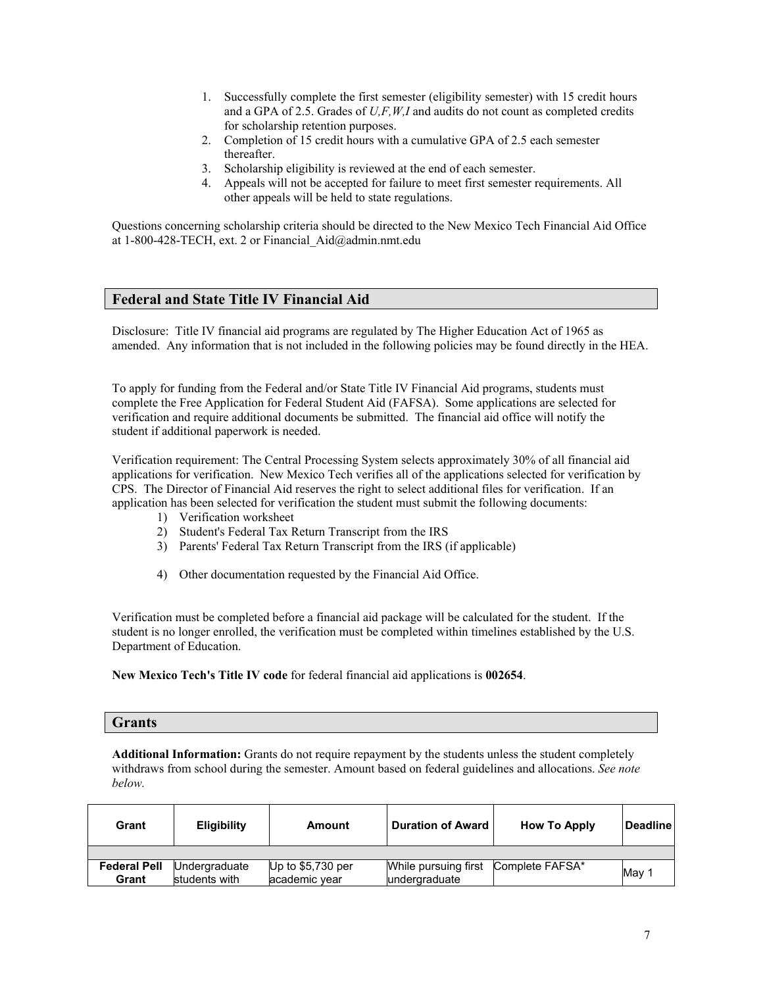- 1. Successfully complete the first semester (eligibility semester) with 15 credit hours and a GPA of 2.5. Grades of *U,F,W,I* and audits do not count as completed credits for scholarship retention purposes.
- 2. Completion of 15 credit hours with a cumulative GPA of 2.5 each semester thereafter.
- 3. Scholarship eligibility is reviewed at the end of each semester.
- 4. Appeals will not be accepted for failure to meet first semester requirements. All other appeals will be held to state regulations.

Questions concerning scholarship criteria should be directed to the New Mexico Tech Financial Aid Office at 1-800-428-TECH, ext. 2 or Financial Aid@admin.nmt.edu

# **Federal and State Title IV Financial Aid**

Disclosure: Title IV financial aid programs are regulated by The Higher Education Act of 1965 as amended. Any information that is not included in the following policies may be found directly in the HEA.

To apply for funding from the Federal and/or State Title IV Financial Aid programs, students must complete the Free Application for Federal Student Aid (FAFSA). Some applications are selected for verification and require additional documents be submitted. The financial aid office will notify the student if additional paperwork is needed.

Verification requirement: The Central Processing System selects approximately 30% of all financial aid applications for verification. New Mexico Tech verifies all of the applications selected for verification by CPS. The Director of Financial Aid reserves the right to select additional files for verification. If an application has been selected for verification the student must submit the following documents:

- 1) Verification worksheet
- 2) Student's Federal Tax Return Transcript from the IRS
- 3) Parents' Federal Tax Return Transcript from the IRS (if applicable)
- 4) Other documentation requested by the Financial Aid Office.

Verification must be completed before a financial aid package will be calculated for the student. If the student is no longer enrolled, the verification must be completed within timelines established by the U.S. Department of Education.

**New Mexico Tech's Title IV code** for federal financial aid applications is **002654**.

#### **Grants**

Additional Information: Grants do not require repayment by the students unless the student completely withdraws from school during the semester. Amount based on federal guidelines and allocations. *See note below.* 

| Grant               | <b>Eligibility</b> | Amount             | <b>Duration of Award</b>             | <b>How To Apply</b> | ∣Deadline I |
|---------------------|--------------------|--------------------|--------------------------------------|---------------------|-------------|
|                     |                    |                    |                                      |                     |             |
| <b>Federal Pell</b> | Undergraduate      | Up to $$5,730$ per | While pursuing first Complete FAFSA* |                     | May         |
| Grant               | students with      | academic year      | undergraduate                        |                     |             |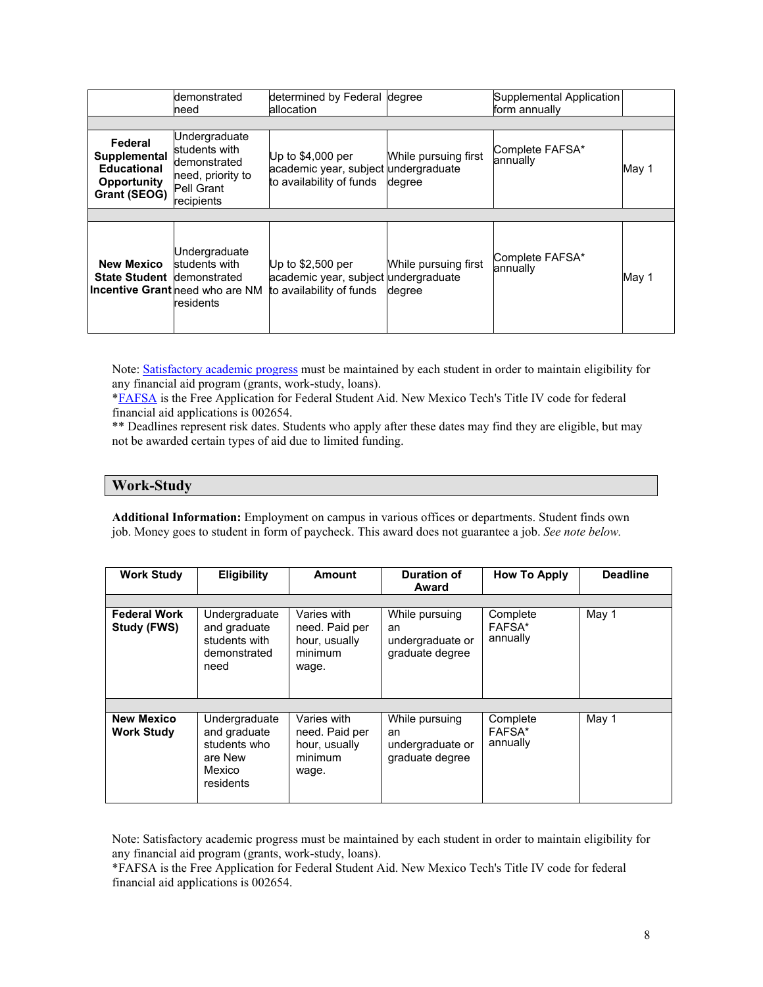|                                                                                            | demonstrated<br>need                                                                            | determined by Federal degree<br>allocation                                             |                                | Supplemental Application<br>form annually |       |
|--------------------------------------------------------------------------------------------|-------------------------------------------------------------------------------------------------|----------------------------------------------------------------------------------------|--------------------------------|-------------------------------------------|-------|
|                                                                                            |                                                                                                 |                                                                                        |                                |                                           |       |
| Federal<br><b>Supplemental</b><br><b>Educational</b><br>Opportunity<br><b>Grant (SEOG)</b> | Undergraduate<br>students with<br>demonstrated<br>need, priority to<br>Pell Grant<br>recipients | Up to $$4,000$ per<br>academic year, subject undergraduate<br>to availability of funds | While pursuing first<br>degree | Complete FAFSA*<br>annually               | May 1 |
|                                                                                            |                                                                                                 |                                                                                        |                                |                                           |       |
| <b>New Mexico</b><br><b>State Student demonstrated</b>                                     | Undergraduate<br>students with<br>Incentive Grant need who are NM<br>residents                  | Up to $$2,500$ per<br>academic year, subject undergraduate<br>to availability of funds | While pursuing first<br>degree | Complete FAFSA*<br>annually               | May 1 |

Note: Satisfactory academic progress must be maintained by each student in order to maintain eligibility for any financial aid program (grants, work-study, loans).

[\\*FAFSA](http://www.fafsa.ed.gov/) is the Free Application for Federal Student Aid. New Mexico Tech's Title IV code for federal financial aid applications is 002654.

\*\* Deadlines represent risk dates. Students who apply after these dates may find they are eligible, but may not be awarded certain types of aid due to limited funding.

#### **Work-Study**

**Additional Information:** Employment on campus in various offices or departments. Student finds own job. Money goes to student in form of paycheck. This award does not guarantee a job. *See note below.*

| <b>Work Study</b>                      | <b>Eligibility</b>                                                              | <b>Amount</b>                                                      | <b>Duration of</b><br>Award                                 | <b>How To Apply</b>            | <b>Deadline</b> |
|----------------------------------------|---------------------------------------------------------------------------------|--------------------------------------------------------------------|-------------------------------------------------------------|--------------------------------|-----------------|
| <b>Federal Work</b><br>Study (FWS)     | Undergraduate<br>and graduate<br>students with<br>demonstrated<br>need          | Varies with<br>need. Paid per<br>hour, usually<br>minimum<br>wage. | While pursuing<br>an<br>undergraduate or<br>graduate degree | Complete<br>FAFSA*<br>annually | May 1           |
| <b>New Mexico</b><br><b>Work Study</b> | Undergraduate<br>and graduate<br>students who<br>are New<br>Mexico<br>residents | Varies with<br>need. Paid per<br>hour, usually<br>minimum<br>wage. | While pursuing<br>an<br>undergraduate or<br>graduate degree | Complete<br>FAFSA*<br>annually | May 1           |

Note: Satisfactory academic progress must be maintained by each student in order to maintain eligibility for any financial aid program (grants, work-study, loans).

[\\*FAFSA](http://www.fafsa.ed.gov/) is the Free Application for Federal Student Aid. New Mexico Tech's Title IV code for federal financial aid applications is 002654.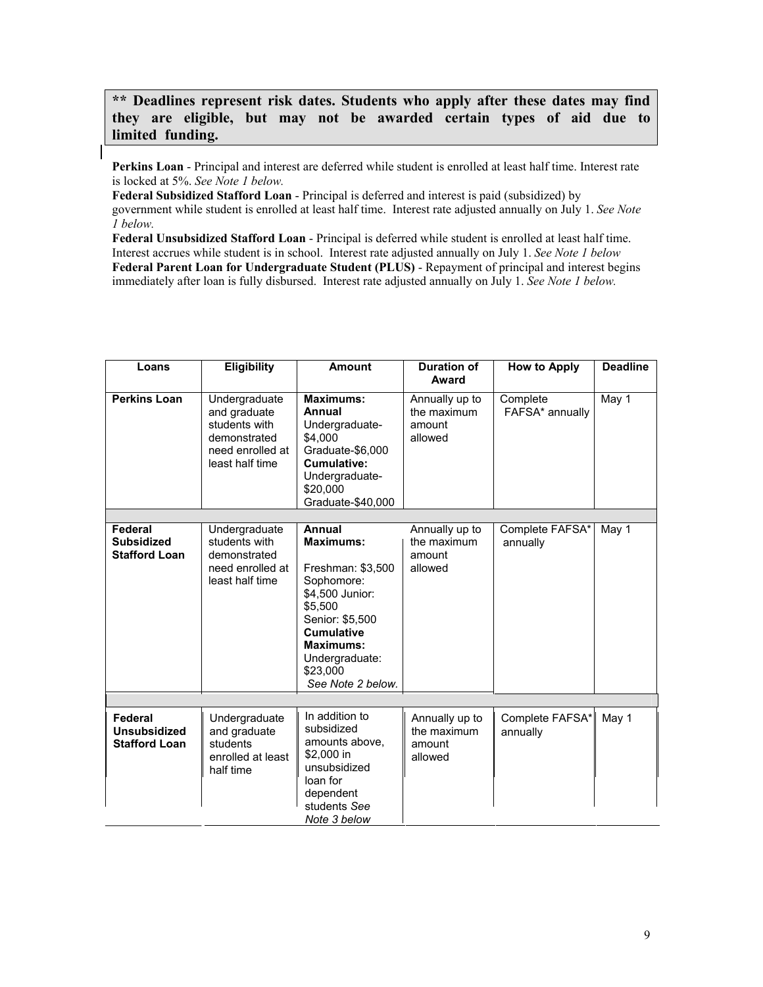**\*\* Deadlines represent risk dates. Students who apply after these dates may find they are eligible, but may not be awarded certain types of aid due to limited funding.**

**Perkins Loan** - Principal and interest are deferred while student is enrolled at least half time. Interest rate is locked at 5%. *See Note 1 below.*

**Federal Subsidized Stafford Loan** - Principal is deferred and interest is paid (subsidized) by government while student is enrolled at least half time. Interest rate adjusted annually on July 1. *See Note 1 below.*

**Federal Unsubsidized Stafford Loan** - Principal is deferred while student is enrolled at least half time. Interest accrues while student is in school. Interest rate adjusted annually on July 1. *See Note 1 below* **Federal Parent Loan for Undergraduate Student (PLUS)** - Repayment of principal and interest begins immediately after loan is fully disbursed. Interest rate adjusted annually on July 1. *See Note 1 below.*

| Loans                                                  | <b>Eligibility</b>                                                                                    | <b>Amount</b>                                                                                                                                                                                              | <b>Duration of</b><br>Award                        | <b>How to Apply</b>         | <b>Deadline</b> |
|--------------------------------------------------------|-------------------------------------------------------------------------------------------------------|------------------------------------------------------------------------------------------------------------------------------------------------------------------------------------------------------------|----------------------------------------------------|-----------------------------|-----------------|
| <b>Perkins Loan</b>                                    | Undergraduate<br>and graduate<br>students with<br>demonstrated<br>need enrolled at<br>least half time | <b>Maximums:</b><br>Annual<br>Undergraduate-<br>\$4,000<br>Graduate-\$6,000<br>Cumulative:<br>Undergraduate-<br>\$20,000<br>Graduate-\$40,000                                                              | Annually up to<br>the maximum<br>amount<br>allowed | Complete<br>FAFSA* annually | May 1           |
| Federal                                                |                                                                                                       |                                                                                                                                                                                                            |                                                    |                             |                 |
| <b>Subsidized</b><br><b>Stafford Loan</b>              | Undergraduate<br>students with<br>demonstrated<br>need enrolled at<br>least half time                 | Annual<br><b>Maximums:</b><br>Freshman: \$3,500<br>Sophomore:<br>\$4,500 Junior:<br>\$5,500<br>Senior: \$5,500<br><b>Cumulative</b><br><b>Maximums:</b><br>Undergraduate:<br>\$23,000<br>See Note 2 below. | Annually up to<br>the maximum<br>amount<br>allowed | Complete FAFSA*<br>annually | May 1           |
|                                                        |                                                                                                       |                                                                                                                                                                                                            |                                                    |                             |                 |
| Federal<br><b>Unsubsidized</b><br><b>Stafford Loan</b> | Undergraduate<br>and graduate<br>students<br>enrolled at least<br>half time                           | In addition to<br>subsidized<br>amounts above,<br>\$2,000 in<br>unsubsidized<br>loan for<br>dependent<br>students See<br>Note 3 below                                                                      | Annually up to<br>the maximum<br>amount<br>allowed | Complete FAFSA*<br>annually | May 1           |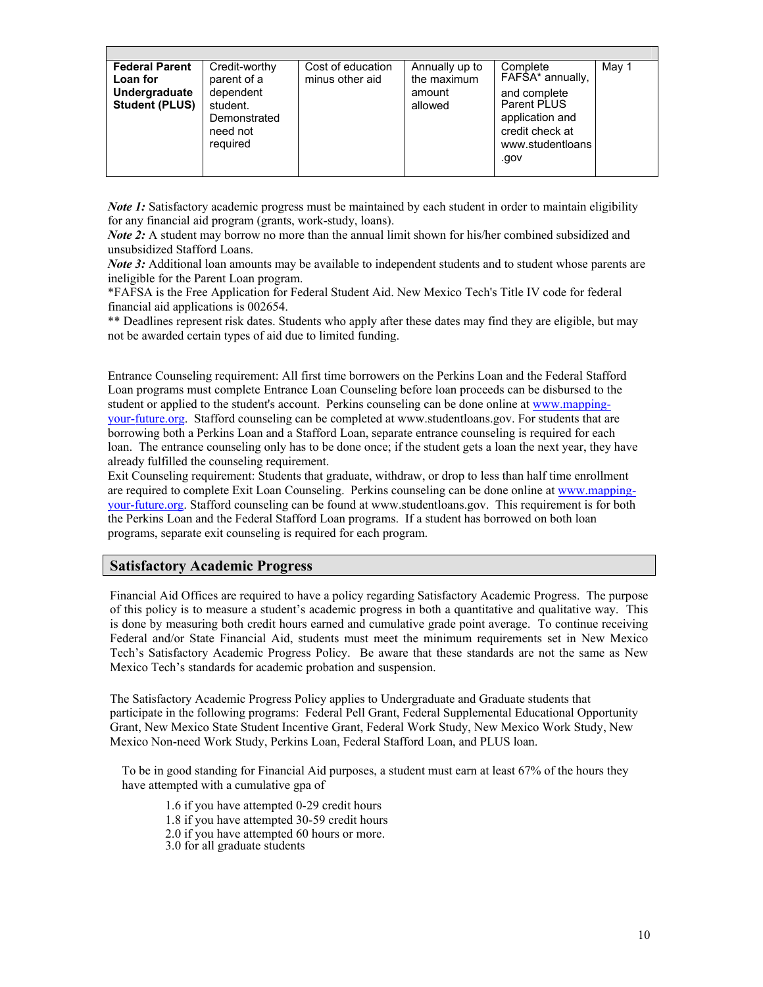| <b>Federal Parent</b><br>Loan for<br>Undergraduate<br><b>Student (PLUS)</b> | Credit-worthy<br>parent of a<br>dependent<br>student.<br>Demonstrated<br>need not<br>required | Cost of education<br>minus other aid | Annually up to<br>the maximum<br>amount<br>allowed | Complete<br>FAFSA* annually,<br>and complete<br>Parent PLUS<br>application and<br>credit check at<br>www.studentloans<br>.gov | May 1 |
|-----------------------------------------------------------------------------|-----------------------------------------------------------------------------------------------|--------------------------------------|----------------------------------------------------|-------------------------------------------------------------------------------------------------------------------------------|-------|
|                                                                             |                                                                                               |                                      |                                                    |                                                                                                                               |       |

*Note 1:* Satisfactory academic progress must be maintained by each student in order to maintain eligibility for any financial aid program (grants, work-study, loans).

*Note 2*: A student may borrow no more than the annual limit shown for his/her combined subsidized and unsubsidized Stafford Loans.

*Note 3:* Additional loan amounts may be available to independent students and to student whose parents are ineligible for the Parent Loan program.

\*FAFSA is the Free Application for Federal Student Aid. New Mexico Tech's Title IV code for federal financial aid applications is 002654.

\*\* Deadlines represent risk dates. Students who apply after these dates may find they are eligible, but may not be awarded certain types of aid due to limited funding.

Entrance Counseling requirement: All first time borrowers on the Perkins Loan and the Federal Stafford Loan programs must complete Entrance Loan Counseling before loan proceeds can be disbursed to the student or applied to the student's account. Perkins counseling can be done online at www.mappingy[our-future](http://www.fafsa.ed.gov/).org. Stafford counseling can be completed at www.studentloans.gov. For students that are borrowing both a Perkins Loan and a Stafford Loan, separate entrance counseling is required for each loan. The entrance counseling only has to be done once; if the student gets a loan the next year, they have already fulfilled the counseling requirement.

Exit Counseling requirement: Students that graduate, withdraw, or drop to less than half time enrollment are required to complete Exit Loan Counseling. Perkins counseling can be done online at www.mappingyour-future.org. Stafford counseling can be found at www.studentloans.gov. This requirement is for both the Perkins Loan and the Federal Stafford Loan programs. If a student has borrowed on both loan programs, separate exit counseling is required for each program.

#### **Satisfactory Academic Progress**

Financial Aid Offices are required to have a policy regarding Satisfactory Academic Progress. The purpose of this policy is to measure a student's academic progress in both a quantitative and qualitative way. This is done by measuring both credit hours earned and cumulative grade point average. T[o continue receiv](http://www.mapping-your-future.org/)ing [Federal and/or S](http://www.mapping-your-future.org/)tate Financial Aid, students must meet the minimum requirements set in New Mexico Tech's Satisfactory Academic Progress Policy. Be aware that these standards are not the same as New Mexico Tech's standards for academic probation and suspension.

The Satisfactory Academic Progress Policy applies to Undergraduate and Graduate students that participate in the following programs: Federal Pell Grant, Federal Supplemental Educational Opportunity Grant, New Mexico State Student Incentive Grant, Federal Work Study, New Mexico Work Study, New Mexico Non-need Work Study, Perkins Loan, Federal Stafford Loan, and PLUS loan.

To be in good standing for Financial Aid purposes, a student must earn at least 67% of the hours they have attempted with a cumulative gpa of

1.6 if you have attempted 0-29 credit hours

1.8 if you have attempted 30-59 credit hours

2.0 if you have attempted 60 hours or more.

3.0 for all graduate students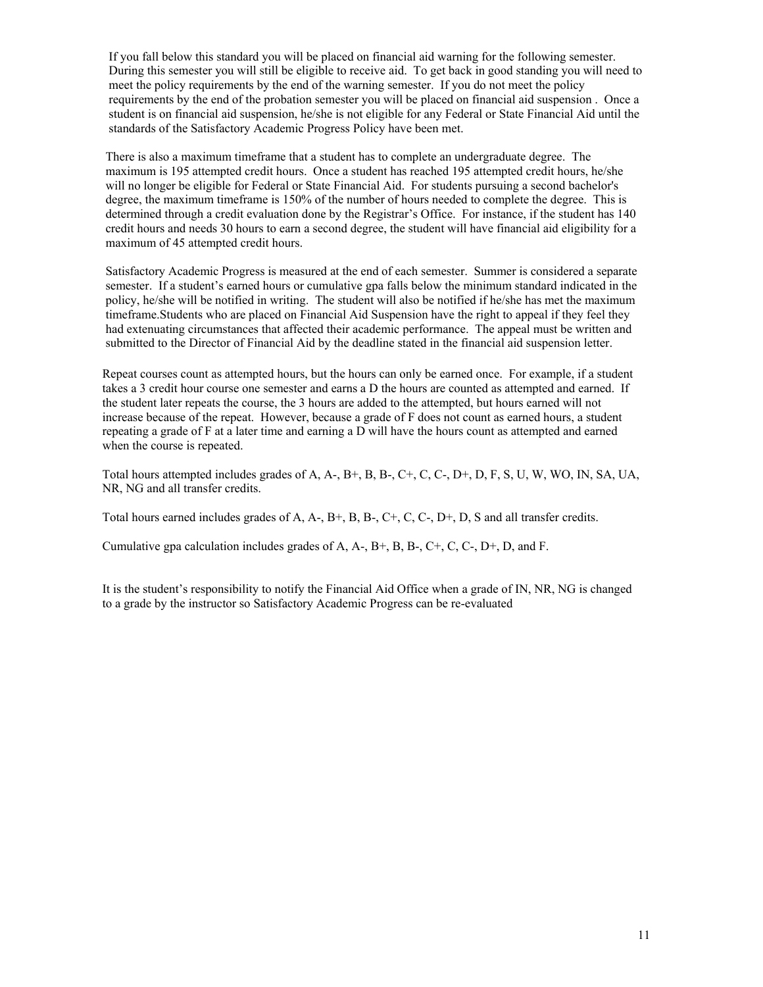If you fall below this standard you will be placed on financial aid warning for the following semester. During this semester you will still be eligible to receive aid. To get back in good standing you will need to meet the policy requirements by the end of the warning semester. If you do not meet the policy requirements by the end of the probation semester you will be placed on financial aid suspension . Once a student is on financial aid suspension, he/she is not eligible for any Federal or State Financial Aid until the standards of the Satisfactory Academic Progress Policy have been met.

There is also a maximum timeframe that a student has to complete an undergraduate degree. The maximum is 195 attempted credit hours. Once a student has reached 195 attempted credit hours, he/she will no longer be eligible for Federal or State Financial Aid. For students pursuing a second bachelor's degree, the maximum timeframe is 150% of the number of hours needed to complete the degree. This is determined through a credit evaluation done by the Registrar's Office. For instance, if the student has 140 credit hours and needs 30 hours to earn a second degree, the student will have financial aid eligibility for a maximum of 45 attempted credit hours.

Satisfactory Academic Progress is measured at the end of each semester. Summer is considered a separate semester. If a student's earned hours or cumulative gpa falls below the minimum standard indicated in the policy, he/she will be notified in writing. The student will also be notified if he/she has met the maximum timeframe.Students who are placed on Financial Aid Suspension have the right to appeal if they feel they had extenuating circumstances that affected their academic performance. The appeal must be written and submitted to the Director of Financial Aid by the deadline stated in the financial aid suspension letter.

Repeat courses count as attempted hours, but the hours can only be earned once. For example, if a student takes a 3 credit hour course one semester and earns a D the hours are counted as attempted and earned. If the student later repeats the course, the 3 hours are added to the attempted, but hours earned will not increase because of the repeat. However, because a grade of F does not count as earned hours, a student repeating a grade of F at a later time and earning a D will have the hours count as attempted and earned when the course is repeated.

Total hours attempted includes grades of A, A-, B+, B, B-, C+, C, C-, D+, D, F, S, U, W, WO, IN, SA, UA, NR, NG and all transfer credits.

Total hours earned includes grades of A, A-, B+, B, B-, C+, C, C-, D+, D, S and all transfer credits.

Cumulative gpa calculation includes grades of A, A-, B+, B, B-, C+, C, C-, D+, D, and F.

It is the student's responsibility to notify the Financial Aid Office when a grade of IN, NR, NG is changed to a grade by the instructor so Satisfactory Academic Progress can be re-evaluated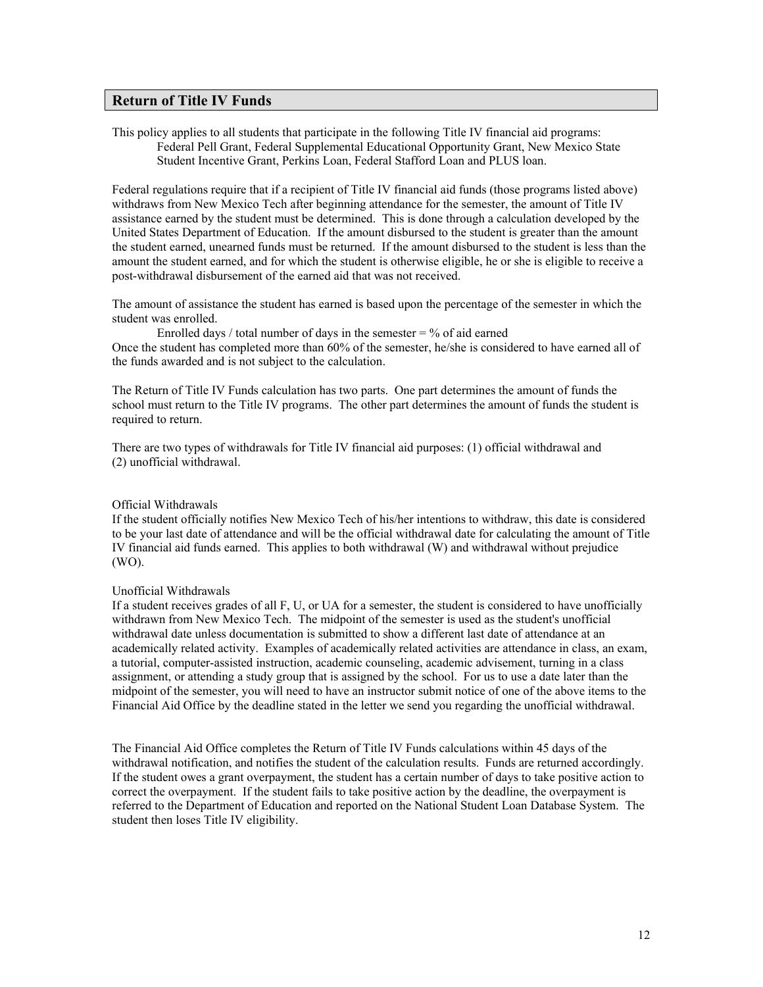#### **Return of Title IV Funds**

This policy applies to all students that participate in the following Title IV financial aid programs: Federal Pell Grant, Federal Supplemental Educational Opportunity Grant, New Mexico State Student Incentive Grant, Perkins Loan, Federal Stafford Loan and PLUS loan.

Federal regulations require that if a recipient of Title IV financial aid funds (those programs listed above) withdraws from New Mexico Tech after beginning attendance for the semester, the amount of Title IV assistance earned by the student must be determined. This is done through a calculation developed by the United States Department of Education. If the amount disbursed to the student is greater than the amount the student earned, unearned funds must be returned. If the amount disbursed to the student is less than the amount the student earned, and for which the student is otherwise eligible, he or she is eligible to receive a post-withdrawal disbursement of the earned aid that was not received.

The amount of assistance the student has earned is based upon the percentage of the semester in which the student was enrolled.

Enrolled days / total number of days in the semester  $=$  % of aid earned Once the student has completed more than 60% of the semester, he/she is considered to have earned all of the funds awarded and is not subject to the calculation.

The Return of Title IV Funds calculation has two parts. One part determines the amount of funds the school must return to the Title IV programs. The other part determines the amount of funds the student is required to return.

There are two types of withdrawals for Title IV financial aid purposes: (1) official withdrawal and (2) unofficial withdrawal.

#### Official Withdrawals

If the student officially notifies New Mexico Tech of his/her intentions to withdraw, this date is considered to be your last date of attendance and will be the official withdrawal date for calculating the amount of Title IV financial aid funds earned. This applies to both withdrawal (W) and withdrawal without prejudice (WO).

#### Unofficial Withdrawals

If a student receives grades of all F, U, or UA for a semester, the student is considered to have unofficially withdrawn from New Mexico Tech. The midpoint of the semester is used as the student's unofficial withdrawal date unless documentation is submitted to show a different last date of attendance at an academically related activity. Examples of academically related activities are attendance in class, an exam, a tutorial, computer-assisted instruction, academic counseling, academic advisement, turning in a class assignment, or attending a study group that is assigned by the school. For us to use a date later than the midpoint of the semester, you will need to have an instructor submit notice of one of the above items to the Financial Aid Office by the deadline stated in the letter we send you regarding the unofficial withdrawal.

The Financial Aid Office completes the Return of Title IV Funds calculations within 45 days of the withdrawal notification, and notifies the student of the calculation results. Funds are returned accordingly. If the student owes a grant overpayment, the student has a certain number of days to take positive action to correct the overpayment. If the student fails to take positive action by the deadline, the overpayment is referred to the Department of Education and reported on the National Student Loan Database System. The student then loses Title IV eligibility.